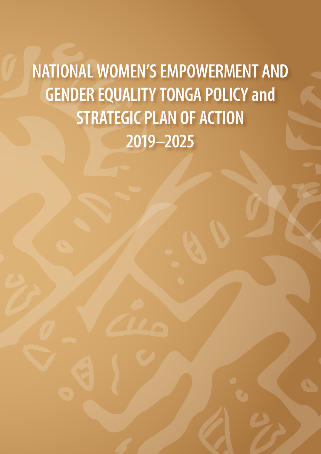**NATIONAL WOMEN'S EMPOWERMENT AND GENDER EQUALITY TONGA POLICY and STRATEGIC PLAN OF ACTION 2019–2025**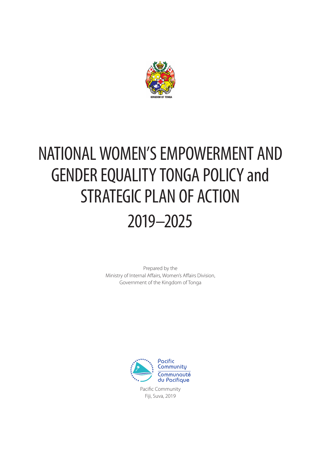

# NATIONAL WOMEN'S EMPOWERMENT AND GENDER EQUALITY TONGA POLICY and STRATEGIC PLAN OF ACTION 2019–2025

Prepared by the Ministry of Internal Affairs, Women's Affairs Division, Government of the Kingdom of Tonga



Pacific Community Fiji, Suva, 2019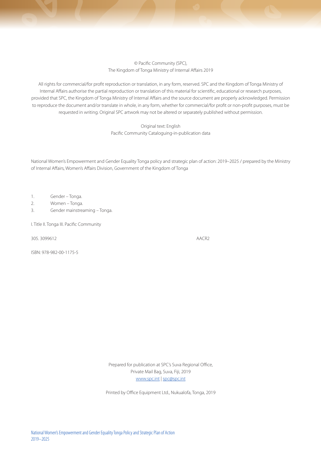© Pacific Community (SPC), The Kingdom of Tonga Ministry of Internal Affairs 2019

All rights for commercial/for profit reproduction or translation, in any form, reserved. SPC and the Kingdom of Tonga Ministry of Internal Affairs authorise the partial reproduction or translation of this material for scientific, educational or research purposes, provided that SPC, the Kingdom of Tonga Ministry of Internal Affairs and the source document are properly acknowledged. Permission to reproduce the document and/or translate in whole, in any form, whether for commercial/for profit or non-profit purposes, must be requested in writing. Original SPC artwork may not be altered or separately published without permission.

> Original text: English Pacific Community Cataloguing-in-publication data

National Women's Empowerment and Gender Equality Tonga policy and strategic plan of action: 2019–2025 / prepared by the Ministry of Internal Affairs, Women's Affairs Division, Government of the Kingdom of Tonga

- 1. Gender Tonga.
- 2. Women Tonga.
- 3. Gender mainstreaming Tonga.

I. Title II. Tonga III. Pacific Community

305. 3099612 AACR2

ISBN: 978-982-00-1175-5

Prepared for publication at SPC's Suva Regional Office, Private Mail Bag, Suva, Fiji, 2019 www.spc.int | spc@spc.int

Printed by Office Equipment Ltd., Nukualofa, Tonga, 2019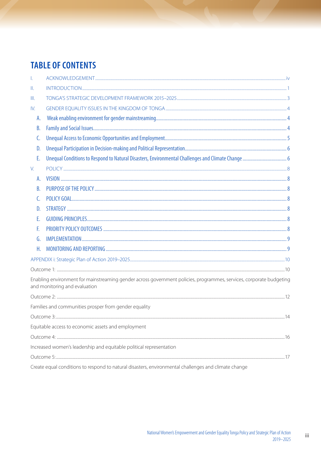# **TABLE OF CONTENTS**

| T.        |                                                                                                                                                      |  |
|-----------|------------------------------------------------------------------------------------------------------------------------------------------------------|--|
| Ш.        |                                                                                                                                                      |  |
| III.      |                                                                                                                                                      |  |
| IV.       |                                                                                                                                                      |  |
| А.        |                                                                                                                                                      |  |
| B.        |                                                                                                                                                      |  |
| C.        |                                                                                                                                                      |  |
| D.        |                                                                                                                                                      |  |
| Е.        |                                                                                                                                                      |  |
| V.        |                                                                                                                                                      |  |
| А.        |                                                                                                                                                      |  |
| <b>B.</b> |                                                                                                                                                      |  |
| C.        |                                                                                                                                                      |  |
| D.        |                                                                                                                                                      |  |
| Ε.        |                                                                                                                                                      |  |
| F.        |                                                                                                                                                      |  |
| G.        |                                                                                                                                                      |  |
| Η.        |                                                                                                                                                      |  |
|           |                                                                                                                                                      |  |
|           |                                                                                                                                                      |  |
|           | Enabling environment for mainstreaming gender across government policies, programmes, services, corporate budgeting<br>and monitoring and evaluation |  |
|           |                                                                                                                                                      |  |
|           | Families and communities prosper from gender equality                                                                                                |  |
|           |                                                                                                                                                      |  |
|           | Equitable access to economic assets and employment                                                                                                   |  |
|           |                                                                                                                                                      |  |
|           | Increased women's leadership and equitable political representation                                                                                  |  |
|           |                                                                                                                                                      |  |
|           | Create equal conditions to respond to natural disasters, environmental challenges and climate change                                                 |  |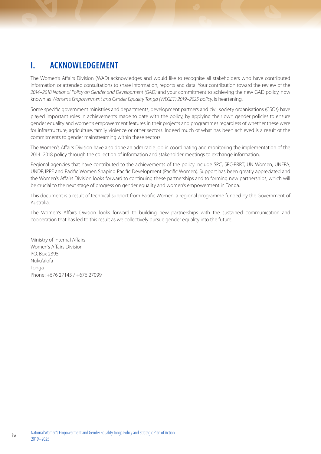# **I. ACKNOWLEDGEMENT**

The Women's Affairs Division (WAD) acknowledges and would like to recognise all stakeholders who have contributed information or attended consultations to share information, reports and data. Your contribution toward the review of the *2014–2018 National Policy on Gender and Development (GAD)* and your commitment to achieving the new GAD policy, now known as *Women's Empowerment and Gender Equality Tonga (WEGET) 2019–2025 policy*, is heartening.

Some specific government ministries and departments, development partners and civil society organisations (CSOs) have played important roles in achievements made to date with the policy, by applying their own gender policies to ensure gender equality and women's empowerment features in their projects and programmes regardless of whether these were for infrastructure, agriculture, family violence or other sectors. Indeed much of what has been achieved is a result of the commitments to gender mainstreaming within these sectors.

The Women's Affairs Division have also done an admirable job in coordinating and monitoring the implementation of the 2014–2018 policy through the collection of information and stakeholder meetings to exchange information.

Regional agencies that have contributed to the achievements of the policy include SPC, SPC-RRRT, UN Women, UNFPA, UNDP, IPPF and Pacific Women Shaping Pacific Development (Pacific Women). Support has been greatly appreciated and the Women's Affairs Division looks forward to continuing these partnerships and to forming new partnerships, which will be crucial to the next stage of progress on gender equality and women's empowerment in Tonga.

This document is a result of technical support from Pacific Women, a regional programme funded by the Government of Australia.

The Women's Affairs Division looks forward to building new partnerships with the sustained communication and cooperation that has led to this result as we collectively pursue gender equality into the future.

Ministry of Internal Affairs Women's Affairs Division P.O. Box 2395 Nuku'alofa Tonga Phone: +676 27145 / +676 27099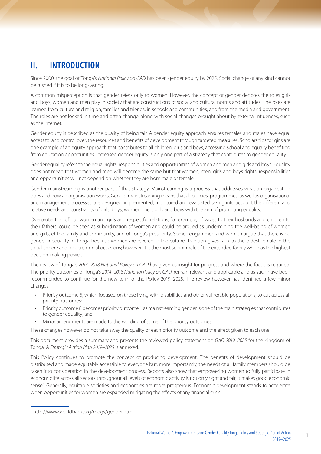# <span id="page-5-0"></span>**II. INTRODUCTION**

Since 2000, the goal of Tonga's *National Policy on GAD* has been gender equity by 2025. Social change of any kind cannot be rushed if it is to be long-lasting.

A common misperception is that gender refers only to women. However, the concept of gender denotes the roles girls and boys, women and men play in society that are constructions of social and cultural norms and attitudes. The roles are learned from culture and religion, families and friends, in schools and communities, and from the media and government. The roles are not locked in time and often change, along with social changes brought about by external influences, such as the Internet.

Gender equity is described as the quality of being fair. A gender equity approach ensures females and males have equal access to, and control over, the resources and benefits of development through targeted measures. Scholarships for girls are one example of an equity approach that contributes to all children, girls and boys, accessing school and equally benefiting from education opportunities. Increased gender equity is only one part of a strategy that contributes to gender equality.

Gender equality refers to the equal rights, responsibilities and opportunities of women and men and girls and boys. Equality does not mean that women and men will become the same but that women, men, girls and boys rights, responsibilities and opportunities will not depend on whether they are born male or female.

Gender mainstreaming is another part of that strategy. Mainstreaming is a process that addresses what an organisation does and how an organisation works. Gender mainstreaming means that all policies, programmes, as well as organisational and management processes, are designed, implemented, monitored and evaluated taking into account the different and relative needs and constraints of girls, boys, women, men, girls and boys with the aim of promoting equality.

Overprotection of our women and girls and respectful relations, for example, of wives to their husbands and children to their fathers, could be seen as subordination of women and could be argued as undermining the well-being of women and girls, of the family and community, and of Tonga's prosperity. Some Tongan men and women argue that there is no gender inequality in Tonga because women are revered in the culture. Tradition gives rank to the oldest female in the social sphere and on ceremonial occasions; however, it is the most senior male of the extended family who has the highest decision-making power.

The review of Tonga's *2014–2018 National Policy on GAD* has given us insight for progress and where the focus is required. The priority outcomes of Tonga's *2014–2018 National Policy on GAD*, remain relevant and applicable and as such have been recommended to continue for the new term of the Policy 2019–2025. The review however has identified a few minor changes:

- Priority outcome 5, which focused on those living with disabilities and other vulnerable populations, to cut across all priority outcomes;
- Priority outcome 6 becomes priority outcome 1 as mainstreaming gender is one of the main strategies that contributes to gender equality; and
- Minor amendments are made to the wording of some of the priority outcomes.

These changes however do not take away the quality of each priority outcome and the effect given to each one.

This document provides a summary and presents the reviewed policy statement on *GAD 2019–2025* for the Kingdom of Tonga. A *Strategic Action Plan 2019–2025* is annexed.

This Policy continues to promote the concept of producing development. The benefits of development should be distributed and made equitably accessible to everyone but, more importantly, the needs of all family members should be taken into consideration in the development process. Reports also show that empowering women to fully participate in economic life across all sectors throughout all levels of economic activity is not only right and fair, it makes good economic sense.<sup>1</sup> Generally, equitable societies and economies are more prosperous. Economic development stands to accelerate when opportunities for women are expanded mitigating the effects of any financial crisis.

<sup>1</sup> http://www.worldbank.org/mdgs/gender.html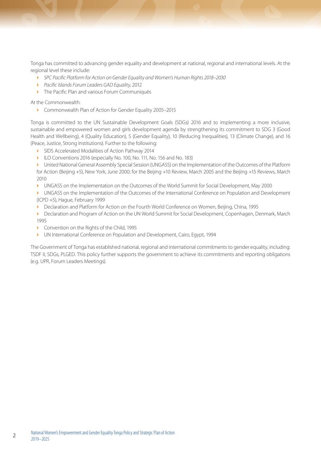<span id="page-6-0"></span>Tonga has committed to advancing gender equality and development at national, regional and international levels. At the regional level these include:

- *SPC Pacific Platform for Action on Gender Equality and Women's Human Rights 2018–2030*
- *Pacific Islands Forum Leaders GAD Equality*, 2012
- **The Pacific Plan and various Forum Communiqués**

At the Commonwealth:

Commonwealth Plan of Action for Gender Equality 2005–2015

Tonga is committed to the UN Sustainable Development Goals (SDGs) 2016 and to implementing a more inclusive, sustainable and empowered women and girls development agenda by strengthening its commitment to SDG 3 (Good Health and Wellbeing), 4 (Quality Education), 5 (Gender Equality), 10 (Reducing Inequalities), 13 (Climate Change), and 16 (Peace, Justice, Strong Institutions). Further to the following:

- SIDS Accelerated Modalities of Action Pathway 2014
- ▶ ILO Conventions 2016 (especially No. 100, No. 111, No. 156 and No. 183)
- United National General Assembly Special Session (UNGASS) on the Implementation of the Outcomes of the Platform for Action (Beijing +5), New York, June 2000; for the Beijing +10 Review, March 2005 and the Beijing +15 Reviews, March 2010
- UNGASS on the Implementation on the Outcomes of the World Summit for Social Development, May 2000
- UNGASS on the Implementation of the Outcomes of the International Conference on Population and Development (ICPD +5), Hague, February 1999
- Declaration and Platform for Action on the Fourth World Conference on Women, Beijing, China, 1995
- Declaration and Program of Action on the UN World Summit for Social Development, Copenhagen, Denmark, March 1995
- ▶ Convention on the Rights of the Child, 1995
- UN International Conference on Population and Development, Cairo, Egypt, 1994

The Government of Tonga has established national, regional and international commitments to gender equality, including: TSDF II, SDGs, PLGED. This policy further supports the government to achieve its commitments and reporting obligations (e.g. UPR, Forum Leaders Meetings).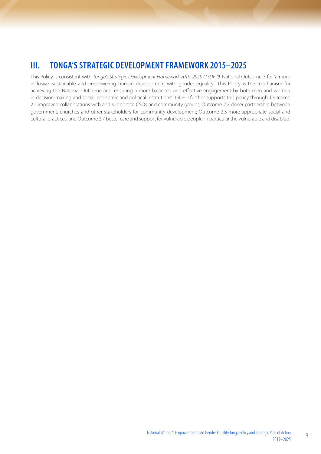# <span id="page-7-0"></span>**III. TONGA'S STRATEGIC DEVELOPMENT FRAMEWORK 2015–2025**

This Policy is consistent with *Tonga's Strategic Development Framework 2015–2025 (TSDF II)*, National Outcome 3 for 'a more inclusive, sustainable and empowering human development with gender equality'. This Policy is the mechanism for achieving the National Outcome and 'ensuring a more balanced and effective engagement by both men and women in decision-making and social, economic and political institutions'. TSDF II further supports this policy through: Outcome 2.1 improved collaborations with and support to CSOs and community groups; Outcome 2.2 closer partnership between government, churches and other stakeholders for community development; Outcome 2.3 more appropriate social and cultural practices; and Outcome 2.7 better care and support for vulnerable people, in particular the vulnerable and disabled.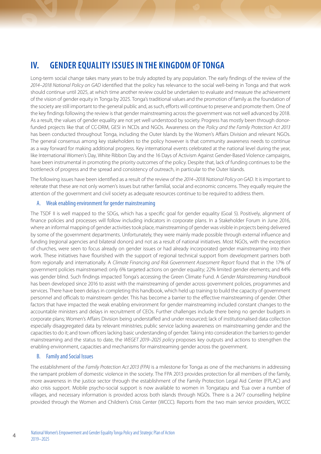# <span id="page-8-0"></span>**IV. GENDER EQUALITY ISSUES IN THE KINGDOM OF TONGA**

Long-term social change takes many years to be truly adopted by any population. The early findings of the review of the *2014–2018 National Policy on GAD* identified that the policy has relevance to the social well-being in Tonga and that work should continue until 2025, at which time another review could be undertaken to evaluate and measure the achievement of the vision of gender equity in Tonga by 2025. Tonga's traditional values and the promotion of family as the foundation of the society are still important to the general public and, as such, efforts will continue to preserve and promote them. One of the key findings following the review is that gender mainstreaming across the government was not well advanced by 2018. As a result, the values of gender equality are not yet well understood by society. Progress has mostly been through donorfunded projects like that of CC-DRM, GESI in NCDs and NGOs. Awareness on the *Policy and the Family Protection Act 2013* has been conducted throughout Tonga, including the Outer Islands by the Women's Affairs Division and relevant NGOs. The general consensus among key stakeholders to the policy however is that community awareness needs to continue as a way forward for making additional progress. Key international events celebrated at the national level during the year, like International Women's Day, White Ribbon Day and the 16 Days of Activism Against Gender-Based Violence campaigns, have been instrumental in promoting the priority outcomes of the policy. Despite that, lack of funding continues to be the bottleneck of progress and the spread and consistency of outreach, in particular to the Outer Islands.

The following issues have been identified as a result of the review of the *2014–2018 National Policy on GAD.* It is important to reiterate that these are not only women's issues but rather familial, social and economic concerns. They equally require the attention of the government and civil society as adequate resources continue to be required to address them.

## A. Weak enabling environment for gender mainstreaming

The TSDF II is well mapped to the SDGs, which has a specific goal for gender equality (Goal 5). Positively, alignment of finance policies and processes will follow including indicators in corporate plans. In a Stakeholder Forum in June 2016, where an informal mapping of gender activities took place, mainstreaming of gender was visible in projects being delivered by some of the government departments. Unfortunately, they were mainly made possible through external influence and funding (regional agencies and bilateral donors) and not as a result of national initiatives. Most NGOs, with the exception of churches, were seen to focus already on gender issues or had already incorporated gender mainstreaming into their work. These initiatives have flourished with the support of regional technical support from development partners both from regionally and internationally. A *Climate Financing and Risk Government Assessment Report* found that in the 17% of government policies mainstreamed: only 6% targeted actions on gender equality; 22% limited gender elements; and 44% was gender blind. Such findings impacted Tonga's accessing the Green Climate Fund. A *Gender Mainstreaming Handbook* has been developed since 2016 to assist with the mainstreaming of gender across government policies, programmes and services. There have been delays in completing this handbook, which held up training to build the capacity of government personnel and officials to mainstream gender. This has become a barrier to the effective mainstreaming of gender. Other factors that have impacted the weak enabling environment for gender mainstreaming included constant changes to the accountable ministers and delays in recruitment of CEOs. Further challenges include there being no gender budgets in corporate plans; Women's Affairs Division being understaffed and under resourced; lack of institutionalised data collection especially disaggregated data by relevant ministries; public service lacking awareness on mainstreaming gender and the capacities to do it; and town officers lacking basic understanding of gender. Taking into consideration the barriers to gender mainstreaming and the status to date, the *WEGET 2019–2025 policy* proposes key outputs and actions to strengthen the enabling environment, capacities and mechanisms for mainstreaming gender across the government.

## B. Family and Social Issues

The establishment of the *Family Protection Act 2013 (FPA)* is a milestone for Tonga as one of the mechanisms in addressing the rampant problem of domestic violence in the society. The FPA 2013 provides protection for all members of the family, more awareness in the justice sector through the establishment of the Family Protection Legal Aid Center (FPLAC) and also crisis support. Mobile psycho-social support is now available to women in Tongatapu and 'Eua over a number of villages, and necessary information is provided across both islands through NGOs. There is a 24/7 counselling helpline provided through the Women and Children's Crisis Center (WCCC). Reports from the two main service providers, WCCC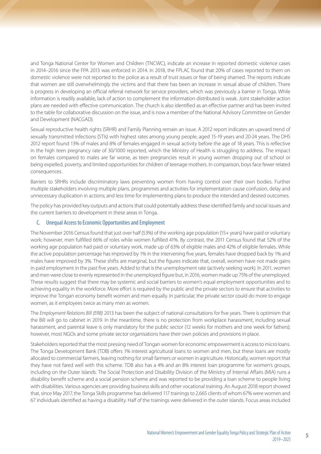<span id="page-9-0"></span>and Tonga National Center for Women and Children (TNCWC), indicate an increase in reported domestic violence cases in 2014–2016 since the FPA 2013 was enforced in 2014. In 2018, the FPLAC found that 20% of cases reported to them on domestic violence were not reported to the police as a result of trust issues or fear of being shamed. The reports indicate that women are still overwhelmingly the victims and that there has been an increase in sexual abuse of children. There is progress in developing an official referral network for service providers, which was previously a barrier in Tonga. While information is readily available, lack of action to complement the information distributed is weak. Joint stakeholder action plans are needed with effective communication. The church is also identified as an effective partner and has been invited to the table for collaborative discussion on the issue, and is now a member of the National Advisory Committee on Gender and Development (NACGAD).

Sexual reproductive health rights (SRHR) and Family Planning remain an issue. A 2012 report indicates an upward trend of sexually transmitted infections (STIs) with highest rates among young people, aged 15-19 years and 20-24 years. The DHS 2012 report found 13% of males and 8% of females engaged in sexual activity before the age of 18 years. This is reflective in the high teen pregnancy rate of 30/1000 reported, which the Ministry of Health is struggling to address. The impact on females compared to males are far worse, as teen pregnancies result in young women dropping out of school or being expelled, poverty, and limited opportunities for children of teenage mothers. In comparison, boys face fewer related consequences.

Barriers to SRHRs include discriminatory laws preventing women from having control over their own bodies. Further multiple stakeholders involving multiple plans, programmes and activities for implementation cause confusion, delay and unnecessary duplication in actions; and less time for implementing plans to produce the intended and desired outcomes.

The policy has provided key outputs and actions that could potentially address these identified family and social issues and the current barriers to development in these areas in Tonga.

#### C. Unequal Access to Economic Opportunities and Employment

The November 2016 Census found that just over half (53%) of the working age population (15+ years) have paid or voluntary work; however, men fulfilled 66% of roles while women fulfilled 41%. By contrast, the 2011 Census found that 52% of the working age population had paid or voluntary work, made up of 63% of eligible males and 42% of eligible females. While the active population percentage has improved by 1% in the intervening five years, females have dropped back by 1% and males have improved by 3%. These shifts are marginal, but the figures indicate that, overall, women have not made gains in paid employment in the past five years. Added to that is the unemployment rate (actively seeking work). In 2011, women and men were close to evenly represented in the unemployed figure but, in 2016, women made up 75% of the unemployed. These results suggest that there may be systemic and social barriers to women's equal employment opportunities and to achieving equality in the workforce. More effort is required by the public and the private sectors to ensure that activities to improve the Tongan economy benefit women and men equally. In particular, the private sector could do more to engage women, as it employees twice as many men as women.

The *Employment Relations Bill (ERB)* 2013 has been the subject of national consultations for five years. There is optimism that the Bill will go to cabinet in 2019. In the meantime, there is no protection from workplace harassment, including sexual harassment, and parental leave is only mandatory for the public sector (12 weeks for mothers and one week for fathers); however, most NGOs and some private sector organisations have their own policies and provisions in place.

Stakeholders reported that the most pressing need of Tongan women for economic empowerment is access to micro loans. The Tonga Development Bank (TDB) offers 1% interest agricultural loans to women and men, but these loans are mostly allocated to commercial farmers, leaving nothing for small farmers or women in agriculture. Historically, women report that they have not fared well with this scheme. TDB also has a 4% and an 8% interest loan programme for women's groups, including on the Outer Islands. The Social Protection and Disability Division of the Ministry of Internal Affairs (MIA) runs a disability benefit scheme and a social pension scheme and was reported to be providing a loan scheme to people living with disabilities. Various agencies are providing business skills and other vocational training. An August 2018 report showed that, since May 2017, the Tonga Skills programme has delivered 117 trainings to 2,665 clients of whom 67% were women and 67 individuals identified as having a disability. Half of the trainings were delivered in the outer islands. Focus areas included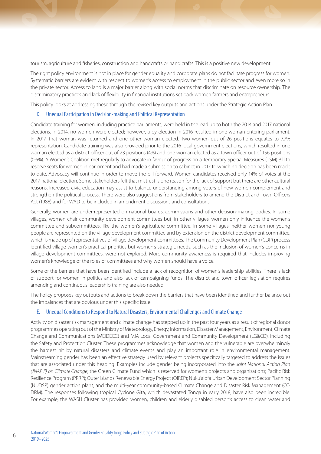<span id="page-10-0"></span>tourism, agriculture and fisheries, construction and handcrafts or handicrafts. This is a positive new development.

The right policy environment is not in place for gender equality and corporate plans do not facilitate progress for women. Systematic barriers are evident with respect to women's access to employment in the public sector and even more so in the private sector. Access to land is a major barrier along with social norms that discriminate on resource ownership. The discriminatory practices and lack of flexibility in financial institutions set back women farmers and entrepreneurs.

This policy looks at addressing these through the revised key outputs and actions under the Strategic Action Plan.

#### D. Unequal Participation in Decision-making and Political Representation

Candidate training for women, including practice parliaments, were held in the lead up to both the 2014 and 2017 national elections. In 2014, no women were elected; however, a by-election in 2016 resulted in one woman entering parliament. In 2017, that woman was returned and one other woman elected. Two women out of 26 positions equates to 7.7% representation. Candidate training was also provided prior to the 2016 local government elections, which resulted in one woman elected as a district officer out of 23 positions (4%) and one woman elected as a town officer out of 156 positions (0.6%). A Women's Coalition met regularly to advocate in favour of progress on a Temporary Special Measures (TSM) Bill to reserve seats for women in parliament and had made a submission to cabinet in 2017 to which no decision has been made to date. Advocacy will continue in order to move the bill forward. Women candidates received only 14% of votes at the 2017 national election. Some stakeholders felt that mistrust is one reason for the lack of support but there are other cultural reasons. Increased civic education may assist to balance understanding among voters of how women complement and strengthen the political process. There were also suggestions from stakeholders to amend the District and Town Officers Act (1988) and for WAD to be included in amendment discussions and consultations.

Generally, women are under-represented on national boards, commissions and other decision-making bodies. In some villages, women chair community development committees but, in other villages, women only influence the women's committee and subcommittees, like the women's agriculture committee. In some villages, neither women nor young people are represented on the village development committee and by extension on the district development committee, which is made up of representatives of village development committees. The Community Development Plan (CDP) process identified village women's practical priorities but women's strategic needs, such as the inclusion of women's concerns in village development committees, were not explored. More community awareness is required that includes improving women's knowledge of the roles of committees and why women should have a voice.

Some of the barriers that have been identified include a lack of recognition of women's leadership abilities. There is lack of support for women in politics and also lack of campaigning funds. The district and town officer legislation requires amending and continuous leadership training are also needed.

The Policy proposes key outputs and actions to break down the barriers that have been identified and further balance out the imbalances that are obvious under this specific issue.

## E. Unequal Conditions to Respond to Natural Disasters, Environmental Challenges and Climate Change

Activity on disaster risk management and climate change has stepped up in the past four years as a result of regional donor programmes operating out of the Ministry of Meteorology, Energy, Information, Disaster Management, Environment, Climate Change and Communications (MEIDECC) and MIA Local Government and Community Development (LG&CD), including the Safety and Protection Cluster. These programmes acknowledge that women and the vulnerable are overwhelmingly the hardest hit by natural disasters and climate events and play an important role in environmental management. Mainstreaming gender has been an effective strategy used by relevant projects specifically targeted to address the issues that are associated under this heading. Examples include gender being incorporated into the *Joint National Action Plan (JNAP II) on Climate Change*; the Green Climate Fund which is reserved for women's projects and organisations; Pacific Risk Resilience Program (PRRP); Outer Islands Renewable Energy Project (OIREP); Nuku'alofa Urban Development Sector Planning (NUDSP) gender action plans; and the multi-year community-based Climate Change and Disaster Risk Management (CC-DRM). The responses following tropical Cyclone Gita, which devastated Tonga in early 2018, have also been incredible. For example, the WASH Cluster has provided women, children and elderly disabled person's access to clean water and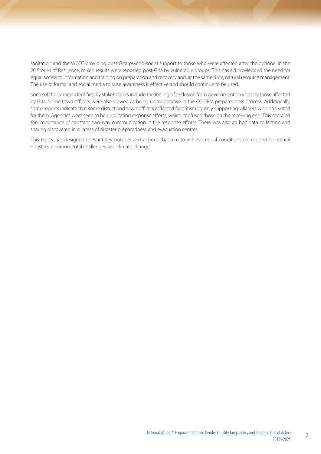sanitation and the WCCC providing post-Gita psycho-social support to those who were affected after the cyclone. In the 20 Stories of Resilience, mixed results were reported post-Gita by vulnerable groups. This has acknowledged the need for equal access to information and training on preparation and recovery and, at the same time, natural resource management. The use of formal and social media to raise awareness is effective and should continue to be used.

Some of the barriers identified by stakeholders include the feeling of exclusion from government services by those affected by Gita. Some town officers were also viewed as being uncooperative in the CC-DRM preparedness process. Additionally, some reports indicate that some district and town officers reflected favoritism by only supporting villagers who had voted for them. Agencies were seen to be duplicating response efforts, which confused those on the receiving end. This revealed the importance of constant two-way communication in the response efforts. There was also ad hoc data collection and sharing discovered in all areas of disaster preparedness and evacuation centres.

This Policy has designed relevant key outputs and actions that aim to achieve equal conditions to respond to natural disasters, environmental challenges and climate change.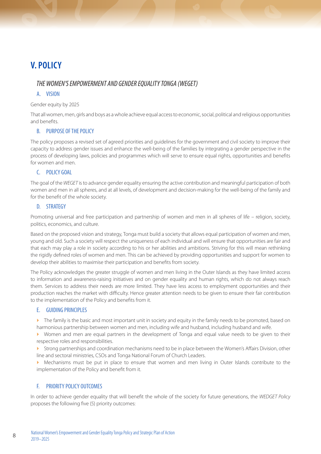# <span id="page-12-0"></span>**V. POLICY**

# *THE WOMEN'S EMPOWERMENT AND GENDER EQUALITY TONGA (WEGET)*

# A. VISION

Gender equity by 2025

That all women, men, girls and boys as a whole achieve equal access to economic, social, political and religious opportunities and benefits.

# B. PURPOSE OF THE POLICY

The policy proposes a revised set of agreed priorities and guidelines for the government and civil society to improve their capacity to address gender issues and enhance the well-being of the families by integrating a gender perspective in the process of developing laws, policies and programmes which will serve to ensure equal rights, opportunities and benefits for women and men.

# C. POLICY GOAL

The goal of the *WEGET* is to advance gender equality ensuring the active contribution and meaningful participation of both women and men in all spheres, and at all levels, of development and decision-making for the well-being of the family and for the benefit of the whole society.

# D. STRATEGY

Promoting universal and free participation and partnership of women and men in all spheres of life – religion, society, politics, economics, and culture.

Based on the proposed vision and strategy, Tonga must build a society that allows equal participation of women and men, young and old. Such a society will respect the uniqueness of each individual and will ensure that opportunities are fair and that each may play a role in society according to his or her abilities and ambitions. Striving for this will mean rethinking the rigidly defined roles of women and men. This can be achieved by providing opportunities and support for women to develop their abilities to maximise their participation and benefits from society.

The Policy acknowledges the greater struggle of women and men living in the Outer Islands as they have limited access to information and awareness-raising initiatives and on gender equality and human rights, which do not always reach them. Services to address their needs are more limited. They have less access to employment opportunities and their production reaches the market with difficulty. Hence greater attention needs to be given to ensure their fair contribution to the implementation of the Policy and benefits from it.

# E. GUIDING PRINCIPLES

The family is the basic and most important unit in society and equity in the family needs to be promoted, based on harmonious partnership between women and men, including wife and husband, including husband and wife.

 Women and men are equal partners in the development of Tonga and equal value needs to be given to their respective roles and responsibilities.

 Strong partnerships and coordination mechanisms need to be in place between the Women's Affairs Division, other line and sectoral ministries, CSOs and Tonga National Forum of Church Leaders.

 Mechanisms must be put in place to ensure that women and men living in Outer Islands contribute to the implementation of the Policy and benefit from it.

## F. PRIORITY POLICY OUTCOMES

In order to achieve gender equality that will benefit the whole of the society for future generations, the *WEDGET Policy*  proposes the following five (5) priority outcomes: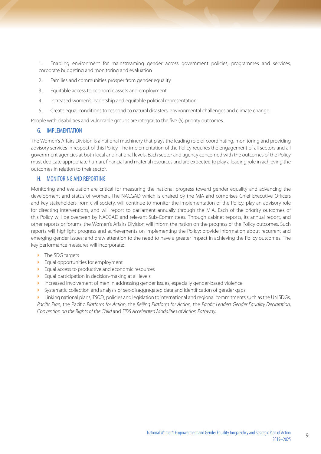<span id="page-13-0"></span>1. Enabling environment for mainstreaming gender across government policies, programmes and services, corporate budgeting and monitoring and evaluation

- 2. Families and communities prosper from gender equality
- 3. Equitable access to economic assets and employment
- 4. Increased women's leadership and equitable political representation
- 5. Create equal conditions to respond to natural disasters, environmental challenges and climate change

People with disabilities and vulnerable groups are integral to the five (5) priority outcomes..

# G. IMPLEMENTATION

The Women's Affairs Division is a national machinery that plays the leading role of coordinating, monitoring and providing advisory services in respect of this Policy. The implementation of the Policy requires the engagement of all sectors and all government agencies at both local and national levels. Each sector and agency concerned with the outcomes of the Policy must dedicate appropriate human, financial and material resources and are expected to play a leading role in achieving the outcomes in relation to their sector.

# H. MONITORING AND REPORTING

Monitoring and evaluation are critical for measuring the national progress toward gender equality and advancing the development and status of women. The NACGAD which is chaired by the MIA and comprises Chief Executive Officers and key stakeholders from civil society, will continue to monitor the implementation of the Policy, play an advisory role for directing interventions, and will report to parliament annually through the MIA. Each of the priority outcomes of this Policy will be overseen by NACGAD and relevant Sub-Committees. Through cabinet reports, its annual report, and other reports or forums, the Women's Affairs Division will inform the nation on the progress of the Policy outcomes. Such reports will highlight progress and achievements on implementing the Policy; provide information about recurrent and emerging gender issues; and draw attention to the need to have a greater impact in achieving the Policy outcomes. The key performance measures will incorporate:

- ▶ The SDG targets
- Equal opportunities for employment
- Equal access to productive and economic resources
- **Equal participation in decision-making at all levels**
- Increased involvement of men in addressing gender issues, especially gender-based violence
- Systematic collection and analysis of sex-disaggregated data and identification of gender gaps

 Linking national plans, *TSDFs*, policies and legislation to international and regional commitments such as the UN SDGs, *Pacific Plan*, the Pacific *Platform for Action*, the *Beijing Platform for Action*, the *Pacific Leaders Gender Equality Declaration*, *Convention on the Rights of the Child* and *SIDS Accelerated Modalities of Action Pathway.*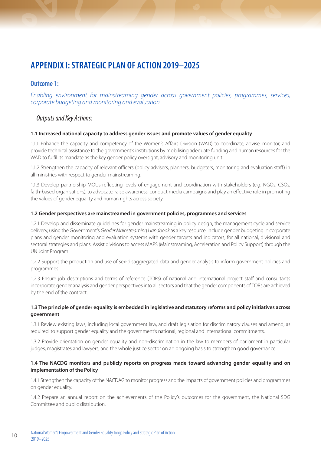# <span id="page-14-0"></span>**APPENDIX I: STRATEGIC PLAN OF ACTION 2019–2025**

# **Outcome 1:**

*Enabling environment for mainstreaming gender across government policies, programmes, services, corporate budgeting and monitoring and evaluation* 

# *Outputs and Key Actions:*

#### **1.1 Increased national capacity to address gender issues and promote values of gender equality**

1.1.1 Enhance the capacity and competency of the Women's Affairs Division (WAD) to coordinate, advise, monitor, and provide technical assistance to the government's institutions by mobilising adequate funding and human resources for the WAD to fulfil its mandate as the key gender policy oversight, advisory and monitoring unit.

1.1.2 Strengthen the capacity of relevant officers (policy advisers, planners, budgeters, monitoring and evaluation staff) in all ministries with respect to gender mainstreaming.

1.1.3 Develop partnership MOUs reflecting levels of engagement and coordination with stakeholders (e.g. NGOs, CSOs, faith-based organisations), to advocate, raise awareness, conduct media campaigns and play an effective role in promoting the values of gender equality and human rights across society.

#### **1.2 Gender perspectives are mainstreamed in government policies, programmes and services**

1.2.1 Develop and disseminate guidelines for gender mainstreaming in policy design, the management cycle and service delivery, using the Government's *Gender Mainstreaming Handbook* as a key resource. Include gender budgeting in corporate plans and gender monitoring and evaluation systems with gender targets and indicators, for all national, divisional and sectoral strategies and plans. Assist divisions to access MAPS (Mainstreaming, Acceleration and Policy Support) through the UN Joint Program.

1.2.2 Support the production and use of sex-disaggregated data and gender analysis to inform government policies and programmes.

1.2.3 Ensure job descriptions and terms of reference (TORs) of national and international project staff and consultants incorporate gender analysis and gender perspectives into all sectors and that the gender components of TORs are achieved by the end of the contract.

#### **1.3 The principle of gender equality is embedded in legislative and statutory reforms and policy initiatives across government**

1.3.1 Review existing laws, including local government law, and draft legislation for discriminatory clauses and amend, as required, to support gender equality and the government's national, regional and international commitments.

1.3.2 Provide orientation on gender equality and non-discrimination in the law to members of parliament in particular judges, magistrates and lawyers, and the whole justice sector on an ongoing basis to strengthen good governance

## **1.4 The NACDG monitors and publicly reports on progress made toward advancing gender equality and on implementation of the Policy**

1.4.1 Strengthen the capacity of the NACDAG to monitor progress and the impacts of government policies and programmes on gender equality.

1.4.2 Prepare an annual report on the achievements of the Policy's outcomes for the government, the National SDG Committee and public distribution.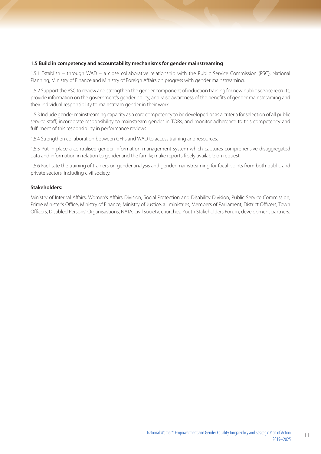#### **1.5 Build in competency and accountability mechanisms for gender mainstreaming**

1.5.1 Establish – through WAD – a close collaborative relationship with the Public Service Commission (PSC), National Planning, Ministry of Finance and Ministry of Foreign Affairs on progress with gender mainstreaming.

1.5.2 Support the PSC to review and strengthen the gender component of induction training for new public service recruits; provide information on the government's gender policy, and raise awareness of the benefits of gender mainstreaming and their individual responsibility to mainstream gender in their work.

1.5.3 Include gender mainstreaming capacity as a core competency to be developed or as a criteria for selection of all public service staff; incorporate responsibility to mainstream gender in TORs; and monitor adherence to this competency and fulfilment of this responsibility in performance reviews.

1.5.4 Strengthen collaboration between GFPs and WAD to access training and resources.

1.5.5 Put in place a centralised gender information management system which captures comprehensive disaggregated data and information in relation to gender and the family; make reports freely available on request.

1.5.6 Facilitate the training of trainers on gender analysis and gender mainstreaming for focal points from both public and private sectors, including civil society.

#### **Stakeholders:**

Ministry of Internal Affairs, Women's Affairs Division, Social Protection and Disability Division, Public Service Commission, Prime Minister's Office, Ministry of Finance, Ministry of Justice, all ministries, Members of Parliament, District Officers, Town Officers, Disabled Persons' Organisastions, NATA, civil society, churches, Youth Stakeholders Forum, development partners.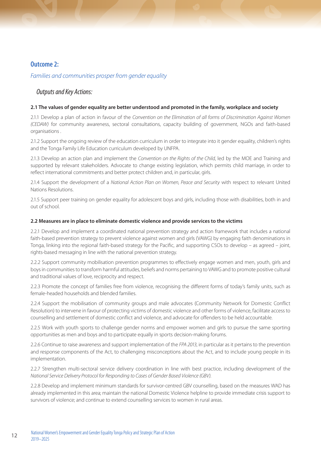# <span id="page-16-0"></span>**Outcome 2:**

# *Families and communities prosper from gender equality*

# *Outputs and Key Actions:*

#### **2.1 The values of gender equality are better understood and promoted in the family, workplace and society**

2.1.1 Develop a plan of action in favour of the *Convention on the Elimination of all forms of Discrimination Against Women (CEDAW)* for community awareness, sectoral consultations, capacity building of government, NGOs and faith-based organisations .

2.1.2 Support the ongoing review of the education curriculum in order to integrate into it gender equality, children's rights and the Tonga Family Life Education curriculum developed by UNFPA.

2.1.3 Develop an action plan and implement the *Convention on the Rights of the Child*, led by the MOE and Training and supported by relevant stakeholders. Advocate to change existing legislation, which permits child marriage, in order to reflect international commitments and better protect children and, in particular, girls.

2.1.4 Support the development of a *National Action Plan on Women, Peace and Security* with respect to relevant United Nations Resolutions.

2.1.5 Support peer training on gender equality for adolescent boys and girls, including those with disabilities, both in and out of school.

#### **2.2 Measures are in place to eliminate domestic violence and provide services to the victims**

2.2.1 Develop and implement a coordinated national prevention strategy and action framework that includes a national faith-based prevention strategy to prevent violence against women and girls (VAWG) by engaging faith denominations in Tonga, linking into the regional faith-based strategy for the Pacific, and supporting CSOs to develop – as agreed – joint, rights-based messaging in line with the national prevention strategy.

2.2.2 Support community mobilisation prevention programmes to effectively engage women and men, youth, girls and boys in communities to transform harmful attitudes, beliefs and norms pertaining to VAWG and to promote positive cultural and traditional values of love, reciprocity and respect.

2.2.3 Promote the concept of families free from violence, recognising the different forms of today's family units, such as female-headed households and blended families.

2.2.4 Support the mobilisation of community groups and male advocates (Community Network for Domestic Conflict Resolution) to intervene in favour of protecting victims of domestic violence and other forms of violence, facilitate access to counselling and settlement of domestic conflict and violence, and advocate for offenders to be held accountable.

2.2.5 Work with youth sports to challenge gender norms and empower women and girls to pursue the same sporting opportunities as men and boys and to participate equally in sports decision-making forums.

2.2.6 Continue to raise awareness and support implementation of the *FPA 2013*, in particular as it pertains to the prevention and response components of the Act, to challenging misconceptions about the Act, and to include young people in its implementation.

2.2.7 Strengthen multi-sectoral service delivery coordination in line with best practice, including development of the *National Service Delivery Protocol for Responding to Cases of Gender Based Violence (GBV)*.

2.2.8 Develop and implement minimum standards for survivor-centred GBV counselling, based on the measures WAD has already implemented in this area; maintain the national Domestic Violence helpline to provide immediate crisis support to survivors of violence; and continue to extend counselling services to women in rural areas.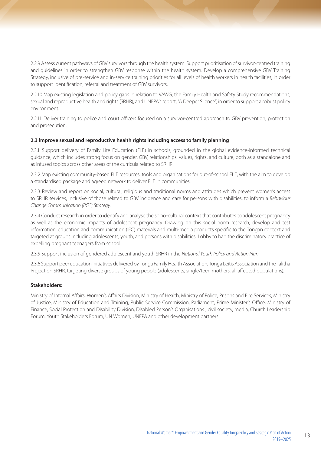2.2.9 Assess current pathways of GBV survivors through the health system. Support prioritisation of survivor-centred training and guidelines in order to strengthen GBV response within the health system. Develop a comprehensive GBV Training Strategy, inclusive of pre-service and in-service training priorities for all levels of health workers in health facilities, in order to support identification, referral and treatment of GBV survivors.

2.2.10 Map existing legislation and policy gaps in relation to VAWG, the Family Health and Safety Study recommendations, sexual and reproductive health and rights (SRHR), and UNFPA's report, "A Deeper Silence", in order to support a robust policy environment.

2.2.11 Deliver training to police and court officers focused on a survivor-centred approach to GBV prevention, protection and prosecution.

## **2.3 Improve sexual and reproductive health rights including access to family planning**

2.3.1 Support delivery of Family Life Education (FLE) in schools, grounded in the global evidence-informed technical guidance, which includes strong focus on gender, GBV, relationships, values, rights, and culture, both as a standalone and as infused topics across other areas of the curricula related to SRHR.

2.3.2 Map existing community-based FLE resources, tools and organisations for out-of-school FLE, with the aim to develop a standardised package and agreed network to deliver FLE in communities.

2.3.3 Review and report on social, cultural, religious and traditional norms and attitudes which prevent women's access to SRHR services, inclusive of those related to GBV incidence and care for persons with disabilities, to inform a *Behaviour Change Communication (BCC) Strategy.*

2.3.4 Conduct research in order to identify and analyse the socio-cultural context that contributes to adolescent pregnancy as well as the economic impacts of adolescent pregnancy. Drawing on this social norm research, develop and test information, education and communication (IEC) materials and multi-media products specific to the Tongan context and targeted at groups including adolescents, youth, and persons with disabilities. Lobby to ban the discriminatory practice of expelling pregnant teenagers from school.

2.3.5 Support inclusion of gendered adolescent and youth SRHR in the *National Youth Policy and Action Plan*.

2.3.6 Support peer education initiatives delivered by Tonga Family Health Association, Tonga Leitis Association and the Talitha Project on SRHR, targeting diverse groups of young people (adolescents, single/teen mothers, all affected populations).

## **Stakeholders:**

Ministry of Internal Affairs, Women's Affairs Division, Ministry of Health, Ministry of Police, Prisons and Fire Services, Ministry of Justice, Ministry of Education and Training, Public Service Commission, Parliament, Prime Minister's Office, Ministry of Finance, Social Protection and Disability Division, Disabled Person's Organisations , civil society, media, Church Leadership Forum, Youth Stakeholders Forum, UN Women, UNFPA and other development partners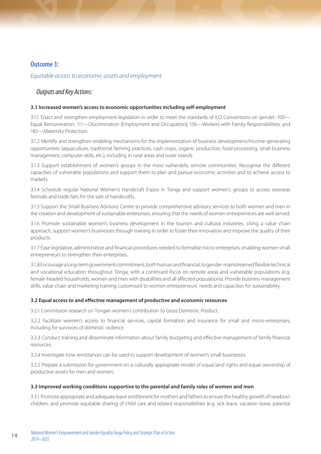# <span id="page-18-0"></span>**Outcome 3:**

# *Equitable access to economic assets and employment*

# *Outputs and Key Actions:*

#### **3.1 Increased women's access to economic opportunities including self-employment**

3.1.1 Enact and strengthen employment legislation in order to meet the standards of ILO Conventions on gender: 100— Equal Remuneration; 111—Discrimination (Employment and Occupation); 156—Workers with Family Responsibilities; and 183—Maternity Protection.

3.1.2 Identify and strengthen enabling mechanisms for the implementation of business development/income-generating opportunities (aquaculture, traditional farming practices, cash crops, organic production, food processing, small business management, computer skills, etc.), including in rural areas and outer islands.

3.1.3 Support establishment of women's groups in the most vulnerable, remote communities. Recognise the different capacities of vulnerable populations and support them to plan and pursue economic activities and to achieve access to markets.

3.1.4 Schedule regular National Women's Handicraft Expos in Tonga and support women's groups to access overseas festivals and trade fairs for the sale of handicrafts.

3.1.5 Support the Small Business Advisory Centre to provide comprehensive advisory services to both women and men in the creation and development of sustainable enterprises, ensuring that the needs of women entrepreneurs are well served.

3.1.6 Promote sustainable women's business development in the tourism and cultural industries. Using a value chain approach, support women's businesses through training in order to foster their innovation and improve the quality of their products.

3.1.7 Ease legislative, administrative and financial procedures needed to formalise micro-enterprises, enabling women small entrepreneurs to strengthen their enterprises.

3.1.8 Encourage a long-term government commitment, both human and financial, to gender-mainstreamed flexible technical and vocational education throughout Tonga, with a continued focus on remote areas and vulnerable populations (e.g. female-headed households, women and men with disabilities and all affected populations). Provide business management skills, value chain and marketing training customised to women entrepreneurs' needs and capacities for sustainability.

## **3.2 Equal access to and effective management of productive and economic resources**

3.2.1 Commission research on Tongan women's contribution to Gross Domestic Product.

3.2.2 Facilitate women's access to financial services, capital formation and insurance for small and micro-enterprises, including for survivors of domestic violence.

3.2.3 Conduct training and disseminate information about family budgeting and effective management of family financial resources.

3.2.4 Investigate how remittances can be used to support development of women's small businesses.

3.2.5 Prepare a submission for government on a culturally appropriate model of equal land rights and equal ownership of productive assets for men and women.

#### **3.3 Improved working conditions supportive to the parental and family roles of women and men**

3.3.1 Promote appropriate and adequate leave entitlement for mothers and fathers to ensure the healthy growth of newborn children, and promote equitable sharing of child care and related responsibilities (e.g. sick leave, vacation leave, parental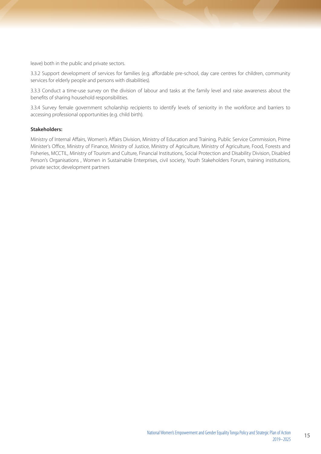leave) both in the public and private sectors.

3.3.2 Support development of services for families (e.g. affordable pre-school, day care centres for children, community services for elderly people and persons with disabilities).

3.3.3 Conduct a time-use survey on the division of labour and tasks at the family level and raise awareness about the benefits of sharing household responsibilities.

3.3.4 Survey female government scholarship recipients to identify levels of seniority in the workforce and barriers to accessing professional opportunities (e.g. child birth).

#### **Stakeholders:**

Ministry of Internal Affairs, Women's Affairs Division, Ministry of Education and Training, Public Service Commission, Prime Minister's Office, Ministry of Finance, Ministry of Justice, Ministry of Agriculture, Ministry of Agriculture, Food, Forests and Fisheries, MCCTIL, Ministry of Tourism and Culture, Financial Institutions, Social Protection and Disability Division, Disabled Person's Organisations , Women in Sustainable Enterprises, civil society, Youth Stakeholders Forum, training institutions, private sector, development partners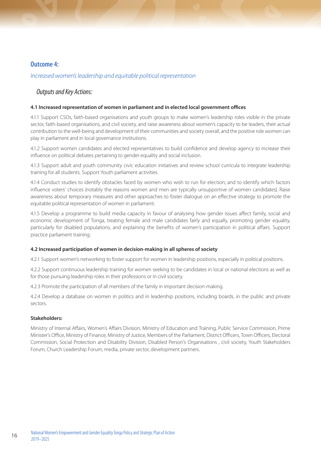# <span id="page-20-0"></span>**Outcome 4:**

# *Increased women's leadership and equitable political representation*

# *Outputs and Key Actions:*

#### **4.1 Increased representation of women in parliament and in elected local government offices**

4.1.1 Support CSOs, faith-based organisations and youth groups to make women's leadership roles visible in the private sector, faith-based organisations, and civil society, and raise awareness about women's capacity to be leaders, their actual contribution to the well-being and development of their communities and society overall, and the positive role women can play in parliament and in local governance institutions.

4.1.2 Support women candidates and elected representatives to build confidence and develop agency to increase their influence on political debates pertaining to gender equality and social inclusion.

4.1.3 Support adult and youth community civic education initiatives and review school curricula to integrate leadership training for all students. Support Youth parliament activities.

4.1.4 Conduct studies to identify obstacles faced by women who wish to run for election; and to identify which factors influence voters' choices (notably the reasons women and men are typically unsupportive of women candidates). Raise awareness about temporary measures and other approaches to foster dialogue on an effective strategy to promote the equitable political representation of women in parliament.

4.1.5 Develop a programme to build media capacity in favour of analysing how gender issues affect family, social and economic development of Tonga, treating female and male candidates fairly and equally, promoting gender equality, particularly for disabled populations, and explaining the benefits of women's participation in political affairs. Support practice parliament training.

## **4.2 Increased participation of women in decision-making in all spheres of society**

4.2.1 Support women's networking to foster support for women in leadership positions, especially in political positions.

4.2.2 Support continuous leadership training for women seeking to be candidates in local or national elections as well as for those pursuing leadership roles in their professions or in civil society.

4.2.3 Promote the participation of all members of the family in important decision-making.

4.2.4 Develop a database on women in politics and in leadership positions, including boards, in the public and private sectors.

#### **Stakeholders:**

Ministry of Internal Affairs, Women's Affairs Division, Ministry of Education and Training, Public Service Commission, Prime Minister's Office, Ministry of Finance, Ministry of Justice, Members of the Parliament, District Officers, Town Officers, Electoral Commission, Social Protection and Disability Division, Disabled Person's Organisations , civil society, Youth Stakeholders Forum, Church Leadership Forum, media, private sector, development partners.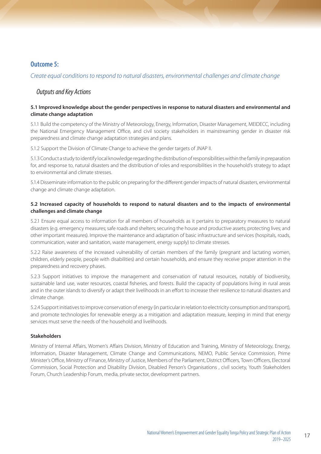# <span id="page-21-0"></span>**Outcome 5:**

*Create equal conditions to respond to natural disasters, environmental challenges and climate change*

# *Outputs and Key Actions*

#### **5.1 Improved knowledge about the gender perspectives in response to natural disasters and environmental and climate change adaptation**

5.1.1 Build the competency of the Ministry of Meteorology, Energy, Information, Disaster Management, MEIDECC, including the National Emergency Management Office, and civil society stakeholders in mainstreaming gender in disaster risk preparedness and climate change adaptation strategies and plans.

5.1.2 Support the Division of Climate Change to achieve the gender targets of JNAP II.

5.1.3 Conduct a study to identify local knowledge regarding the distribution of responsibilities within the family in preparation for, and response to, natural disasters and the distribution of roles and responsibilities in the household's strategy to adapt to environmental and climate stresses.

5.1.4 Disseminate information to the public on preparing for the different gender impacts of natural disasters, environmental change and climate change adaptation.

# **5.2 Increased capacity of households to respond to natural disasters and to the impacts of environmental challenges and climate change**

5.2.1 Ensure equal access to information for all members of households as it pertains to preparatory measures to natural disasters (e.g. emergency measures; safe roads and shelters; securing the house and productive assets; protecting lives; and other important measures). Improve the maintenance and adaptation of basic infrastructure and services (hospitals, roads, communication, water and sanitation, waste management, energy supply) to climate stresses.

5.2.2 Raise awareness of the increased vulnerability of certain members of the family (pregnant and lactating women, children, elderly people, people with disabilities) and certain households, and ensure they receive proper attention in the preparedness and recovery phases.

5.2.3 Support initiatives to improve the management and conservation of natural resources, notably of biodiversity, sustainable land use, water resources, coastal fisheries, and forests. Build the capacity of populations living in rural areas and in the outer islands to diversify or adapt their livelihoods in an effort to increase their resilience to natural disasters and climate change.

5.2.4 Support initiatives to improve conservation of energy (in particular in relation to electricity consumption and transport), and promote technologies for renewable energy as a mitigation and adaptation measure, keeping in mind that energy services must serve the needs of the household and livelihoods.

## **Stakeholders**

Ministry of Internal Affairs, Women's Affairs Division, Ministry of Education and Training, Ministry of Meteorology, Energy, Information, Disaster Management, Climate Change and Communications, NEMO, Public Service Commission, Prime Minister's Office, Ministry of Finance, Ministry of Justice, Members of the Parliament, District Officers, Town Officers, Electoral Commission, Social Protection and Disability Division, Disabled Person's Organisations , civil society, Youth Stakeholders Forum, Church Leadership Forum, media, private sector, development partners.